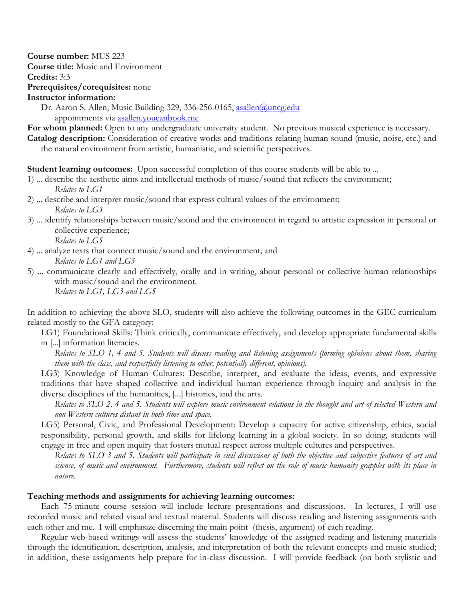**Course number:** MUS 223

**Course title:** Music and Environment

**Credits:** 3:3

# **Prerequisites/corequisites:** none

**Instructor information:** 

Dr. Aaron S. Allen, Music Building 329, 336-256-0165, asallen@uncg.edu appointments via asallen.youcanbook.me

**For whom planned:** Open to any undergraduate university student. No previous musical experience is necessary. **Catalog description:** Consideration of creative works and traditions relating human sound (music, noise, etc.) and the natural environment from artistic, humanistic, and scientific perspectives.

**Student learning outcomes:** Upon successful completion of this course students will be able to ...

- 1) ... describe the aesthetic aims and intellectual methods of music/sound that reflects the environment; *Relates to LG1*
- 2) ... describe and interpret music/sound that express cultural values of the environment; *Relates to LG3*
- 3) ... identify relationships between music/sound and the environment in regard to artistic expression in personal or collective experience; *Relates to LG5*
- 4) ... analyze texts that connect music/sound and the environment; and *Relates to LG1 and LG3*
- 5) ... communicate clearly and effectively, orally and in writing, about personal or collective human relationships with music/sound and the environment. *Relates to LG1, LG3 and LG5*

In addition to achieving the above SLO, students will also achieve the following outcomes in the GEC curriculum related mostly to the GFA category:

LG1) Foundational Skills: Think critically, communicate effectively, and develop appropriate fundamental skills in [...] information literacies.

*Relates to SLO 1, 4 and 5. Students will discuss reading and listening assignments (forming opinions about them, sharing them with the class, and respectfully listening to other, potentially different, opinions).*

LG3) Knowledge of Human Cultures: Describe, interpret, and evaluate the ideas, events, and expressive traditions that have shaped collective and individual human experience through inquiry and analysis in the diverse disciplines of the humanities, [...] histories, and the arts.

*Relates to SLO 2, 4 and 5. Students will explore music-environment relations in the thought and art of selected Western and non-Western cultures distant in both time and space.*

LG5) Personal, Civic, and Professional Development: Develop a capacity for active citizenship, ethics, social responsibility, personal growth, and skills for lifelong learning in a global society. In so doing, students will engage in free and open inquiry that fosters mutual respect across multiple cultures and perspectives.

*Relates to SLO 3 and 5. Students will participate in civil discussions of both the objective and subjective features of art and science, of music and environment. Furthermore, students will reflect on the role of music humanity grapples with its place in nature.* 

### **Teaching methods and assignments for achieving learning outcomes:**

Each 75-minute course session will include lecture presentations and discussions. In lectures, I will use recorded music and related visual and textual material. Students will discuss reading and listening assignments with each other and me. I will emphasize discerning the main point (thesis, argument) of each reading.

Regular web-based writings will assess the students' knowledge of the assigned reading and listening materials through the identification, description, analysis, and interpretation of both the relevant concepts and music studied; in addition, these assignments help prepare for in-class discussion. I will provide feedback (on both stylistic and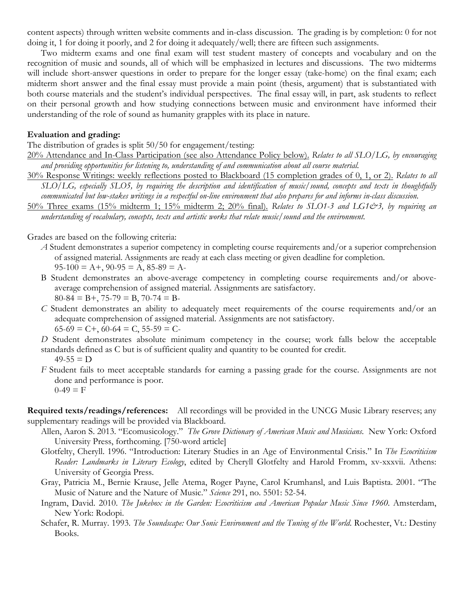content aspects) through written website comments and in-class discussion. The grading is by completion: 0 for not doing it, 1 for doing it poorly, and 2 for doing it adequately/well; there are fifteen such assignments.

Two midterm exams and one final exam will test student mastery of concepts and vocabulary and on the recognition of music and sounds, all of which will be emphasized in lectures and discussions. The two midterms will include short-answer questions in order to prepare for the longer essay (take-home) on the final exam; each midterm short answer and the final essay must provide a main point (thesis, argument) that is substantiated with both course materials and the student's individual perspectives. The final essay will, in part, ask students to reflect on their personal growth and how studying connections between music and environment have informed their understanding of the role of sound as humanity grapples with its place in nature.

## **Evaluation and grading:**

The distribution of grades is split 50/50 for engagement/testing:

20% Attendance and In-Class Participation (see also Attendance Policy below). *Relates to all SLO/LG, by encouraging and providing opportunities for listening to, understanding of and communication about all course material.*

30% Response Writings: weekly reflections posted to Blackboard (15 completion grades of 0, 1, or 2). *Relates to all SLO/LG, especially SLO5, by requiring the description and identification of music/sound, concepts and texts in thoughtfully communicated but low-stakes writings in a respectful on-line environment that also prepares for and informs in-class discussion.*

50% Three exams (15% midterm 1; 15% midterm 2; 20% final). *Relates to SLO1-3 and LG1&3, by requiring an understanding of vocabulary, concepts, texts and artistic works that relate music/sound and the environment.*

Grades are based on the following criteria:

- *A* Student demonstrates a superior competency in completing course requirements and/or a superior comprehension of assigned material. Assignments are ready at each class meeting or given deadline for completion.  $95-100 = A +$ ,  $90-95 = A$ ,  $85-89 = A$
- B Student demonstrates an above-average competency in completing course requirements and/or aboveaverage comprehension of assigned material. Assignments are satisfactory.
	- $80-84 = B+$ , 75-79 = B, 70-74 = B-
- *C* Student demonstrates an ability to adequately meet requirements of the course requirements and/or an adequate comprehension of assigned material. Assignments are not satisfactory.  $65-69 = C +$ ,  $60-64 = C$ ,  $55-59 = C$

*D* Student demonstrates absolute minimum competency in the course; work falls below the acceptable standards defined as C but is of sufficient quality and quantity to be counted for credit.

```
49-55 = D
```
*F* Student fails to meet acceptable standards for earning a passing grade for the course. Assignments are not done and performance is poor.  $0-49 = F$ 

**Required texts/readings/references:** All recordings will be provided in the UNCG Music Library reserves; any supplementary readings will be provided via Blackboard.

- Allen, Aaron S. 2013. "Ecomusicology." *The Grove Dictionary of American Music and Musicians*. New York: Oxford University Press, forthcoming. [750-word article]
	- Glotfelty, Cheryll. 1996. "Introduction: Literary Studies in an Age of Environmental Crisis." In *The Ecocriticism Reader: Landmarks in Literary Ecology*, edited by Cheryll Glotfelty and Harold Fromm, xv-xxxvii. Athens: University of Georgia Press.
	- Gray, Patricia M., Bernie Krause, Jelle Atema, Roger Payne, Carol Krumhansl, and Luis Baptista. 2001. "The Music of Nature and the Nature of Music." *Science* 291, no. 5501: 52-54.
	- Ingram, David. 2010. *The Jukebox in the Garden: Ecocriticism and American Popular Music Since 1960*. Amsterdam, New York: Rodopi.
	- Schafer, R. Murray. 1993. *The Soundscape: Our Sonic Environment and the Tuning of the World*. Rochester, Vt.: Destiny Books.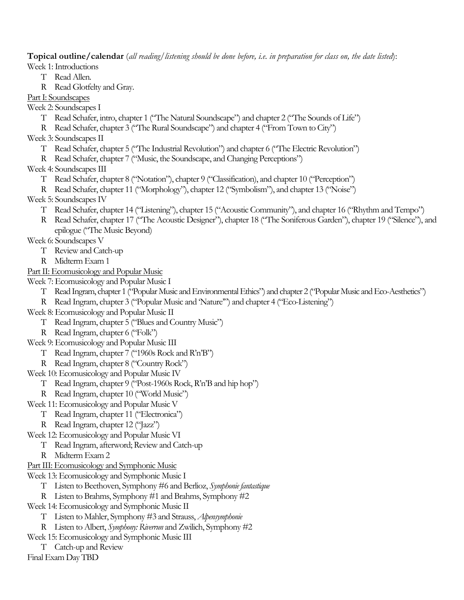**Topical outline/calendar** (*all reading/listening should be done before, i.e. in preparation for class on, the date listed*): Week 1: Introductions

- T Read Allen.
- R Read Glotfelty and Gray.

Part I: Soundscapes

- Week 2: Soundscapes I
	- T Read Schafer, intro, chapter 1 ("The Natural Soundscape") and chapter 2 ("The Sounds of Life")
	- R Read Schafer, chapter 3 ("The Rural Soundscape") and chapter 4 ("From Town to City")
- Week 3: Soundscapes II
	- T Read Schafer, chapter 5 ("The Industrial Revolution") and chapter 6 ("The Electric Revolution")
	- R Read Schafer, chapter 7 ("Music, the Soundscape, and Changing Perceptions")
- Week 4: Soundscapes III
	- T Read Schafer, chapter 8 ("Notation"), chapter 9 ("Classification), and chapter 10 ("Perception")
	- R Read Schafer, chapter 11 ("Morphology"), chapter 12 ("Symbolism"), and chapter 13 ("Noise")
- Week 5: Soundscapes IV
	- T Read Schafer, chapter 14 ("Listening"), chapter 15 ("Acoustic Community"), and chapter 16 ("Rhythm and Tempo")
	- R Read Schafer, chapter 17 ("The Acoustic Designer"), chapter 18 ("The Soniferous Garden"), chapter 19 ("Silence"), and epilogue ("The Music Beyond)
- Week 6: Soundscapes V
	- T Review and Catch-up
	- R Midterm Exam 1
- Part II: Ecomusicology and Popular Music
- Week 7: Ecomusicology and Popular Music I
	- T Read Ingram, chapter 1 ("Popular Music and Environmental Ethics") and chapter 2 ("Popular Music and Eco-Aesthetics")
	- R Read Ingram, chapter 3 ("Popular Music and 'Nature'") and chapter 4 ("Eco-Listening")
- Week 8: Ecomusicology and Popular Music II
	- T Read Ingram, chapter 5 ("Blues and Country Music")
	- R Read Ingram, chapter 6 ("Folk")
- Week 9: Ecomusicology and Popular Music III
	- T Read Ingram, chapter 7 ("1960s Rock and R'n'B")
	- R Read Ingram, chapter 8 ("Country Rock")
- Week 10: Ecomusicology and Popular Music IV
	- T Read Ingram, chapter 9 ("Post-1960s Rock, R'n'B and hip hop")
	- R Read Ingram, chapter 10 ("World Music")
- Week 11: Ecomusicology and Popular Music V
	- T Read Ingram, chapter 11 ("Electronica")
	- R Read Ingram, chapter 12 ("Jazz")
- Week 12: Ecomusicology and Popular Music VI
	- T Read Ingram, afterword; Review and Catch-up
	- R Midterm Exam 2
- Part III: Ecomusicology and Symphonic Music
- Week 13: Ecomusicology and Symphonic Music I
	- T Listen to Beethoven, Symphony #6 and Berlioz, *Symphonie fantastique*
	- R Listen to Brahms, Symphony #1 and Brahms, Symphony #2
- Week 14: Ecomusicology and Symphonic Music II
	- T Listen to Mahler, Symphony #3 and Strauss, *Alpensymphonie*
	- R Listen to Albert, *Symphony: Riverrun* and Zwilich, Symphony #2
- Week 15: Ecomusicology and Symphonic Music III
- T Catch-up and Review

Final Exam Day TBD